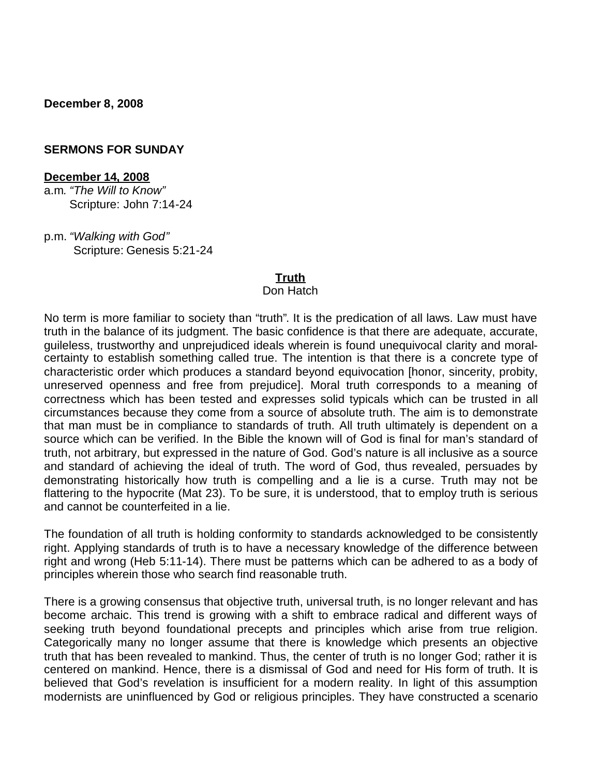**December 8, 2008**

#### **SERMONS FOR SUNDAY**

#### **December 14, 2008**

a.m*. "The Will to Know"* Scripture: John 7:14-24

p.m. *"Walking with God"* Scripture: Genesis 5:21-24

#### **Truth**

#### Don Hatch

No term is more familiar to society than "truth". It is the predication of all laws. Law must have truth in the balance of its judgment. The basic confidence is that there are adequate, accurate, guileless, trustworthy and unprejudiced ideals wherein is found unequivocal clarity and moralcertainty to establish something called true. The intention is that there is a concrete type of characteristic order which produces a standard beyond equivocation [honor, sincerity, probity, unreserved openness and free from prejudice]. Moral truth corresponds to a meaning of correctness which has been tested and expresses solid typicals which can be trusted in all circumstances because they come from a source of absolute truth. The aim is to demonstrate that man must be in compliance to standards of truth. All truth ultimately is dependent on a source which can be verified. In the Bible the known will of God is final for man's standard of truth, not arbitrary, but expressed in the nature of God. God's nature is all inclusive as a source and standard of achieving the ideal of truth. The word of God, thus revealed, persuades by demonstrating historically how truth is compelling and a lie is a curse. Truth may not be flattering to the hypocrite (Mat 23). To be sure, it is understood, that to employ truth is serious and cannot be counterfeited in a lie.

The foundation of all truth is holding conformity to standards acknowledged to be consistently right. Applying standards of truth is to have a necessary knowledge of the difference between right and wrong (Heb 5:11-14). There must be patterns which can be adhered to as a body of principles wherein those who search find reasonable truth.

There is a growing consensus that objective truth, universal truth, is no longer relevant and has become archaic. This trend is growing with a shift to embrace radical and different ways of seeking truth beyond foundational precepts and principles which arise from true religion. Categorically many no longer assume that there is knowledge which presents an objective truth that has been revealed to mankind. Thus, the center of truth is no longer God; rather it is centered on mankind. Hence, there is a dismissal of God and need for His form of truth. It is believed that God's revelation is insufficient for a modern reality. In light of this assumption modernists are uninfluenced by God or religious principles. They have constructed a scenario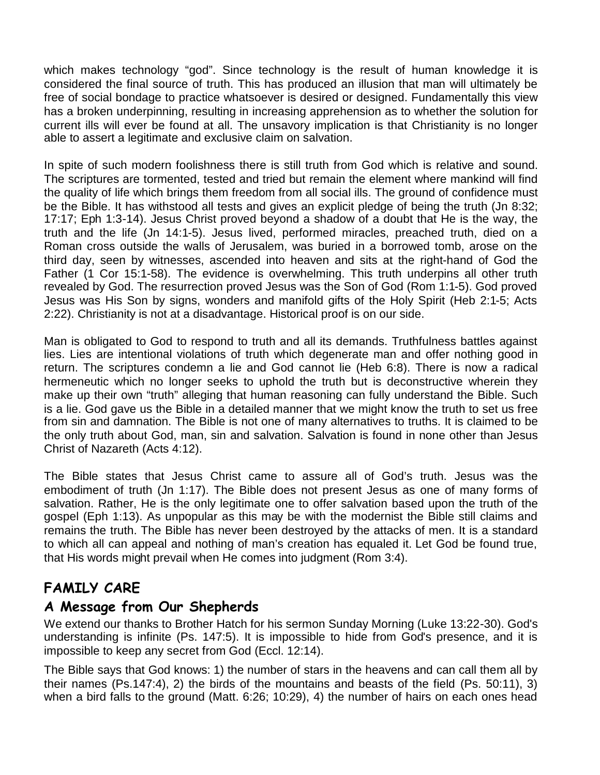which makes technology "god". Since technology is the result of human knowledge it is considered the final source of truth. This has produced an illusion that man will ultimately be free of social bondage to practice whatsoever is desired or designed. Fundamentally this view has a broken underpinning, resulting in increasing apprehension as to whether the solution for current ills will ever be found at all. The unsavory implication is that Christianity is no longer able to assert a legitimate and exclusive claim on salvation.

In spite of such modern foolishness there is still truth from God which is relative and sound. The scriptures are tormented, tested and tried but remain the element where mankind will find the quality of life which brings them freedom from all social ills. The ground of confidence must be the Bible. It has withstood all tests and gives an explicit pledge of being the truth (Jn 8:32; 17:17; Eph 1:3-14). Jesus Christ proved beyond a shadow of a doubt that He is the way, the truth and the life (Jn 14:1-5). Jesus lived, performed miracles, preached truth, died on a Roman cross outside the walls of Jerusalem, was buried in a borrowed tomb, arose on the third day, seen by witnesses, ascended into heaven and sits at the right-hand of God the Father (1 Cor 15:1-58). The evidence is overwhelming. This truth underpins all other truth revealed by God. The resurrection proved Jesus was the Son of God (Rom 1:1-5). God proved Jesus was His Son by signs, wonders and manifold gifts of the Holy Spirit (Heb 2:1-5; Acts 2:22). Christianity is not at a disadvantage. Historical proof is on our side.

Man is obligated to God to respond to truth and all its demands. Truthfulness battles against lies. Lies are intentional violations of truth which degenerate man and offer nothing good in return. The scriptures condemn a lie and God cannot lie (Heb 6:8). There is now a radical hermeneutic which no longer seeks to uphold the truth but is deconstructive wherein they make up their own "truth" alleging that human reasoning can fully understand the Bible. Such is a lie. God gave us the Bible in a detailed manner that we might know the truth to set us free from sin and damnation. The Bible is not one of many alternatives to truths. It is claimed to be the only truth about God, man, sin and salvation. Salvation is found in none other than Jesus Christ of Nazareth (Acts 4:12).

The Bible states that Jesus Christ came to assure all of God's truth. Jesus was the embodiment of truth (Jn 1:17). The Bible does not present Jesus as one of many forms of salvation. Rather, He is the only legitimate one to offer salvation based upon the truth of the gospel (Eph 1:13). As unpopular as this may be with the modernist the Bible still claims and remains the truth. The Bible has never been destroyed by the attacks of men. It is a standard to which all can appeal and nothing of man's creation has equaled it. Let God be found true, that His words might prevail when He comes into judgment (Rom 3:4).

### **FAMILY CARE**

#### **A Message from Our Shepherds**

We extend our thanks to Brother Hatch for his sermon Sunday Morning (Luke 13:22-30). God's understanding is infinite (Ps. 147:5). It is impossible to hide from God's presence, and it is impossible to keep any secret from God (Eccl. 12:14).

The Bible says that God knows: 1) the number of stars in the heavens and can call them all by their names (Ps.147:4), 2) the birds of the mountains and beasts of the field (Ps. 50:11), 3) when a bird falls to the ground (Matt. 6:26; 10:29), 4) the number of hairs on each ones head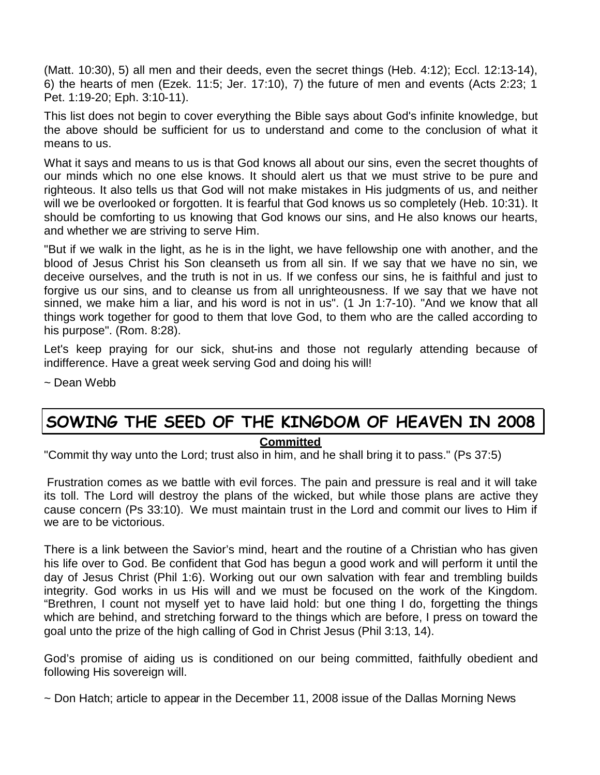(Matt. 10:30), 5) all men and their deeds, even the secret things (Heb. 4:12); Eccl. 12:13-14), 6) the hearts of men (Ezek. 11:5; Jer. 17:10), 7) the future of men and events (Acts 2:23; 1 Pet. 1:19-20; Eph. 3:10-11).

This list does not begin to cover everything the Bible says about God's infinite knowledge, but the above should be sufficient for us to understand and come to the conclusion of what it means to us.

What it says and means to us is that God knows all about our sins, even the secret thoughts of our minds which no one else knows. It should alert us that we must strive to be pure and righteous. It also tells us that God will not make mistakes in His judgments of us, and neither will we be overlooked or forgotten. It is fearful that God knows us so completely (Heb. 10:31). It should be comforting to us knowing that God knows our sins, and He also knows our hearts, and whether we are striving to serve Him.

"But if we walk in the light, as he is in the light, we have fellowship one with another, and the blood of Jesus Christ his Son cleanseth us from all sin. If we say that we have no sin, we deceive ourselves, and the truth is not in us. If we confess our sins, he is faithful and just to forgive us our sins, and to cleanse us from all unrighteousness. If we say that we have not sinned, we make him a liar, and his word is not in us". (1 Jn 1:7-10). "And we know that all things work together for good to them that love God, to them who are the called according to his purpose". (Rom. 8:28).

Let's keep praying for our sick, shut-ins and those not regularly attending because of indifference. Have a great week serving God and doing his will!

~ Dean Webb

# **SOWING THE SEED OF THE KINGDOM OF HEAVEN IN 2008**

#### **Committed**

"Commit thy way unto the Lord; trust also in him, and he shall bring it to pass." (Ps 37:5)

Frustration comes as we battle with evil forces. The pain and pressure is real and it will take its toll. The Lord will destroy the plans of the wicked, but while those plans are active they cause concern (Ps 33:10). We must maintain trust in the Lord and commit our lives to Him if we are to be victorious.

There is a link between the Savior's mind, heart and the routine of a Christian who has given his life over to God. Be confident that God has begun a good work and will perform it until the day of Jesus Christ (Phil 1:6). Working out our own salvation with fear and trembling builds integrity. God works in us His will and we must be focused on the work of the Kingdom. "Brethren, I count not myself yet to have laid hold: but one thing I do, forgetting the things which are behind, and stretching forward to the things which are before, I press on toward the goal unto the prize of the high calling of God in Christ Jesus (Phil 3:13, 14).

God's promise of aiding us is conditioned on our being committed, faithfully obedient and following His sovereign will.

~ Don Hatch; article to appear in the December 11, 2008 issue of the Dallas Morning News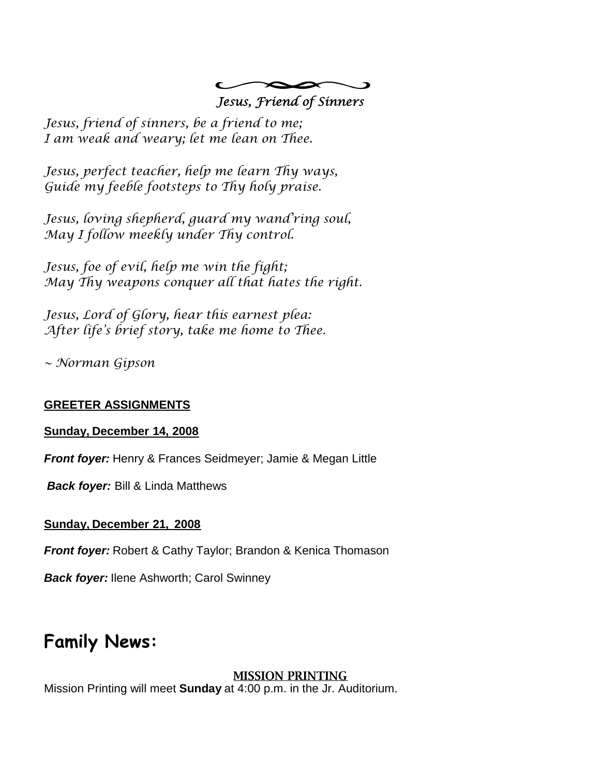

Jesus, friend of sinners, be a friend to me; I am weak and weary; let me lean on Thee.

Jesus, perfect teacher, help me learn Thy ways, Guide my feeble footsteps to Thy holy praise.

Jesus, loving shepherd, guard my wand'ring soul, May I follow meekly under Thy control.

Jesus, foe of evil, help me win the fight; May Thy weapons conquer all that hates the right.

Jesus, Lord of Glory, hear this earnest plea: After life's brief story, take me home to Thee.

~ Norman Gipson

#### **GREETER ASSIGNMENTS**

#### **Sunday, December 14, 2008**

*Front foyer:* Henry & Frances Seidmeyer; Jamie & Megan Little

*Back foyer:* Bill & Linda Matthews

#### **Sunday, December 21, 2008**

*Front foyer:* Robert & Cathy Taylor; Brandon & Kenica Thomason

*Back foyer:* Ilene Ashworth; Carol Swinney

## **Family News:**

#### **MISSION PRINTING**

Mission Printing will meet **Sunday** at 4:00 p.m. in the Jr. Auditorium.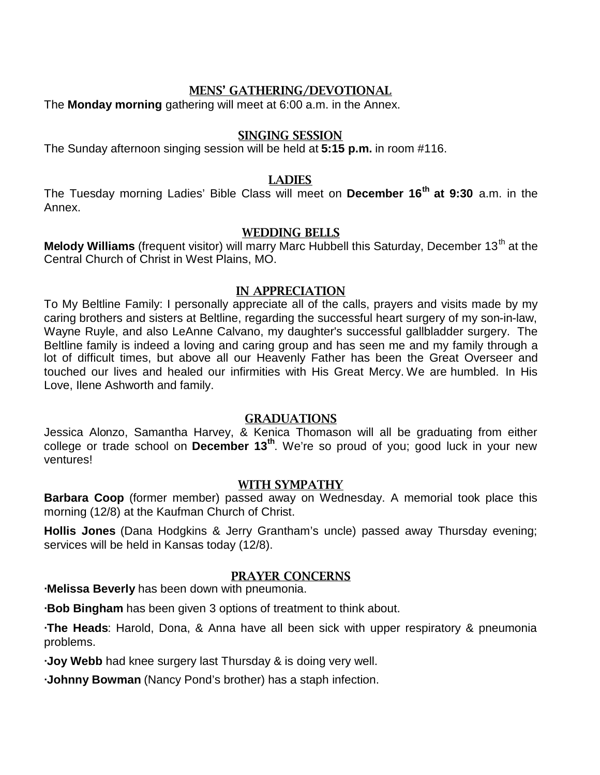#### **MENS' GATHERING/DEVOTIONAL**

The **Monday morning** gathering will meet at 6:00 a.m. in the Annex.

#### **SINGING SESSION**

The Sunday afternoon singing session will be held at **5:15 p.m.** in room #116.

#### **LADIES**

The Tuesday morning Ladies' Bible Class will meet on **December 16th at 9:30** a.m. in the Annex.

#### **WEDDING BELLS**

Melody Williams (frequent visitor) will marry Marc Hubbell this Saturday, December 13<sup>th</sup> at the Central Church of Christ in West Plains, MO.

#### **IN APPRECIATION**

To My Beltline Family: I personally appreciate all of the calls, prayers and visits made by my caring brothers and sisters at Beltline, regarding the successful heart surgery of my son-in-law, Wayne Ruyle, and also LeAnne Calvano, my daughter's successful gallbladder surgery. The Beltline family is indeed a loving and caring group and has seen me and my family through a lot of difficult times, but above all our Heavenly Father has been the Great Overseer and touched our lives and healed our infirmities with His Great Mercy. We are humbled. In His Love, Ilene Ashworth and family.

#### **GRADUATIONS**

Jessica Alonzo, Samantha Harvey, & Kenica Thomason will all be graduating from either college or trade school on **December 13th**. We're so proud of you; good luck in your new ventures!

#### **WITH SYMPATHY**

**Barbara Coop** (former member) passed away on Wednesday. A memorial took place this morning (12/8) at the Kaufman Church of Christ.

**Hollis Jones** (Dana Hodgkins & Jerry Grantham's uncle) passed away Thursday evening; services will be held in Kansas today (12/8).

#### **PRAYER CONCERNS**

**∙Melissa Beverly** has been down with pneumonia.

**∙Bob Bingham** has been given 3 options of treatment to think about.

**∙The Heads**: Harold, Dona, & Anna have all been sick with upper respiratory & pneumonia problems.

**∙Joy Webb** had knee surgery last Thursday & is doing very well.

**∙Johnny Bowman** (Nancy Pond's brother) has a staph infection.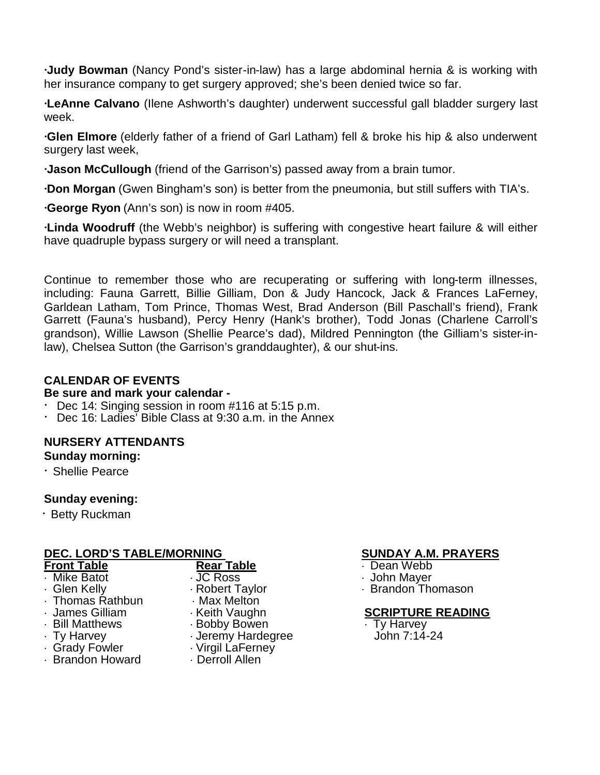**∙Judy Bowman** (Nancy Pond's sister-in-law) has a large abdominal hernia & is working with her insurance company to get surgery approved; she's been denied twice so far.

**∙LeAnne Calvano** (Ilene Ashworth's daughter) underwent successful gall bladder surgery last week.

**∙Glen Elmore** (elderly father of a friend of Garl Latham) fell & broke his hip & also underwent surgery last week,

**∙Jason McCullough** (friend of the Garrison's) passed away from a brain tumor.

**∙Don Morgan** (Gwen Bingham's son) is better from the pneumonia, but still suffers with TIA's.

**∙George Ryon** (Ann's son) is now in room #405.

**∙Linda Woodruff** (the Webb's neighbor) is suffering with congestive heart failure & will either have quadruple bypass surgery or will need a transplant.

Continue to remember those who are recuperating or suffering with long-term illnesses, including: Fauna Garrett, Billie Gilliam, Don & Judy Hancock, Jack & Frances LaFerney, Garldean Latham, Tom Prince, Thomas West, Brad Anderson (Bill Paschall's friend), Frank Garrett (Fauna's husband), Percy Henry (Hank's brother), Todd Jonas (Charlene Carroll's grandson), Willie Lawson (Shellie Pearce's dad), Mildred Pennington (the Gilliam's sister-inlaw), Chelsea Sutton (the Garrison's granddaughter), & our shut-ins.

#### **CALENDAR OF EVENTS**

#### **Be sure and mark your calendar -**

- Dec 14: Singing session in room #116 at 5:15 p.m.
- · Dec 16: Ladies' Bible Class at 9:30 a.m. in the Annex

#### **NURSERY ATTENDANTS**

#### **Sunday morning:**

· Shellie Pearce

#### **Sunday evening:**

· Betty Ruckman

#### **DEC. LORD'S TABLE/MORNING SUNDAY A.M. PRAYERS**

| <b>Front Table</b> | <b>Rear Table</b> |  |  |
|--------------------|-------------------|--|--|
| · Mike Batot       | JC Ross           |  |  |
| · Glen Kelly       | · Robert Taylor   |  |  |
| · Thomas Rathbun   | · Max Melton      |  |  |
| · James Gilliam    | · Keith Vaughn    |  |  |
| · Bill Matthews    | · Bobby Bowen     |  |  |
| $\cdot$ Ty Harvey  | · Jeremy Hardegre |  |  |
| · Grady Fowler     | · Virgil LaFerney |  |  |
| · Brandon Howard   | · Derroll Allen   |  |  |
|                    |                   |  |  |
|                    |                   |  |  |

- **From The Table** Dean Webb
- $\cdot$  John Maver
- $\cdot$  Brandon Thomason

#### **SCRIPTURE READING**

**Ty Harvey** eremy John 7:14-24